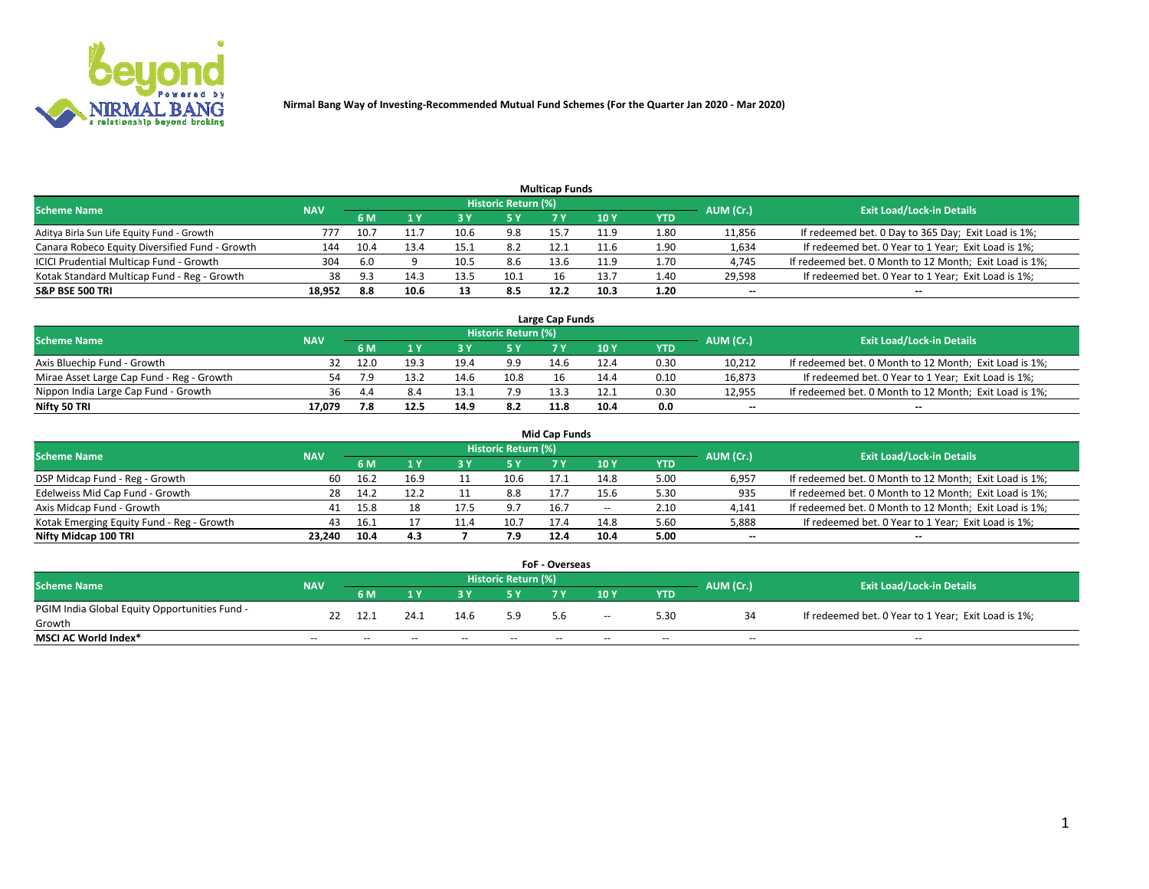

|                                                |            |      |      |      |                     | <b>Multicap Funds</b> |      |      |                          |                                                        |
|------------------------------------------------|------------|------|------|------|---------------------|-----------------------|------|------|--------------------------|--------------------------------------------------------|
| Scheme Name                                    | <b>NAV</b> |      |      |      | Historic Return (%) |                       |      |      | AUM (Cr.)                | <b>Exit Load/Lock-in Details</b>                       |
|                                                |            | 6 M  |      |      | 5 Y                 |                       | 10 ۱ | YTD  |                          |                                                        |
| Aditya Birla Sun Life Equity Fund - Growth     | 777        | 10.  |      |      | 9.8                 | 15.                   | 11.9 | 1.80 | 11,856                   | If redeemed bet. 0 Day to 365 Day; Exit Load is 1%;    |
| Canara Robeco Equity Diversified Fund - Growth | 144        | 10.4 | 13.4 |      | 8.2                 | 12.1                  |      | 1.90 | 1,634                    | If redeemed bet. 0 Year to 1 Year; Exit Load is 1%;    |
| ICICI Prudential Multicap Fund - Growth        | 304        | 6.0  |      | 10.5 | 8.6                 | 13.6                  | 11.9 | 1.70 | 4,745                    | If redeemed bet. 0 Month to 12 Month; Exit Load is 1%; |
| Kotak Standard Multicap Fund - Reg - Growth    | 38         | 9 3  | 14.3 | 13.5 | 10.1                | 16                    | 13.7 | 1.40 | 29,598                   | If redeemed bet. 0 Year to 1 Year; Exit Load is 1%;    |
| <b>S&amp;P BSE 500 TRI</b>                     | 18.952     | 8.8  | 10.6 | 13   | 8.5                 | 12.2                  | 10.3 | 1.20 | $\overline{\phantom{a}}$ | $- -$                                                  |

| Large Cap Funds                           |            |      |      |      |                            |      |      |      |           |                                                        |  |  |  |  |
|-------------------------------------------|------------|------|------|------|----------------------------|------|------|------|-----------|--------------------------------------------------------|--|--|--|--|
| Scheme Name                               | <b>NAV</b> |      |      |      | <b>Historic Return (%)</b> |      |      |      | AUM (Cr.) | <b>Exit Load/Lock-in Details</b>                       |  |  |  |  |
|                                           |            | 6 M  |      |      | 5 Y                        |      | 10Y  | YTD  |           |                                                        |  |  |  |  |
| Axis Bluechip Fund - Growth               |            | 12.0 |      | 19.4 | 9.9                        | 14.6 | 12.4 | 0.30 | 10,212    | If redeemed bet. 0 Month to 12 Month; Exit Load is 1%; |  |  |  |  |
| Mirae Asset Large Cap Fund - Reg - Growth | 54         |      | 13.2 | 14.6 | 10.8                       | 16   | 14.4 | 0.10 | 16,873    | If redeemed bet. 0 Year to 1 Year; Exit Load is 1%;    |  |  |  |  |
| Nippon India Large Cap Fund - Growth      | 36         | 4.4  |      |      | 7.9                        | 13.3 | 12.1 | 0.30 | 12,955    | If redeemed bet. 0 Month to 12 Month; Exit Load is 1%; |  |  |  |  |
| Nifty 50 TRI                              | 17.079     | 7.8  | 12.5 | 14.9 | 8.2                        | 11.8 | 10.4 | 0.0  | $\sim$    | $\sim$                                                 |  |  |  |  |

|                                           |            |      |      |      |                     | <b>Mid Cap Funds</b> |       |            |           |                                                        |
|-------------------------------------------|------------|------|------|------|---------------------|----------------------|-------|------------|-----------|--------------------------------------------------------|
| <b>Scheme Name</b>                        | <b>NAV</b> |      |      |      | Historic Return (%) |                      |       |            | AUM (Cr.) | <b>Exit Load/Lock-in Details</b>                       |
|                                           |            | 6 M  |      |      | 5 Y                 |                      | 10 Y  | <b>YTD</b> |           |                                                        |
| DSP Midcap Fund - Reg - Growth            | 60         | 16.2 | 16.9 |      | 10.6                | 17.1                 | 14.8  | 5.00       | 6,957     | If redeemed bet. 0 Month to 12 Month; Exit Load is 1%; |
| Edelweiss Mid Cap Fund - Growth           | 28.        | 14.2 | 12.2 |      | 8.8                 | 17.                  | 15.6  | 5.30       | 935       | If redeemed bet. 0 Month to 12 Month; Exit Load is 1%; |
| Axis Midcap Fund - Growth                 | 41         | 15.8 | 18   | 17.5 | 9.7                 | 16.7                 | $- -$ | 2.10       | 4,141     | If redeemed bet. 0 Month to 12 Month; Exit Load is 1%; |
| Kotak Emerging Equity Fund - Reg - Growth | 43         | 16.1 |      | 11.4 | 10.7                | 17.4                 | 14.8  | 5.60       | 5,888     | If redeemed bet. 0 Year to 1 Year; Exit Load is 1%;    |
| Nifty Midcap 100 TRI                      | 23.240     | 10.4 | 4.3  |      | 7.9                 | 12.4                 | 10.4  | 5.00       | $\sim$    | $\sim$                                                 |

| <b>FoF - Overseas</b>                         |            |       |       |       |                            |     |               |            |           |                                                     |  |  |  |
|-----------------------------------------------|------------|-------|-------|-------|----------------------------|-----|---------------|------------|-----------|-----------------------------------------------------|--|--|--|
| <b>Scheme Name</b>                            | <b>NAV</b> |       |       |       | <b>Historic Return (%)</b> |     |               |            | AUM (Cr.) | <b>Exit Load/Lock-in Details</b>                    |  |  |  |
|                                               |            | 6 M   |       |       |                            |     | 10Y           | <b>YTD</b> |           |                                                     |  |  |  |
| PGIM India Global Equity Opportunities Fund - | 22         | 12.1  | 24.1  | 14.6  | 5.9                        |     | $\sim$ $\sim$ | 5.30       |           | If redeemed bet. 0 Year to 1 Year; Exit Load is 1%; |  |  |  |
| Growth                                        |            |       |       |       |                            | 5.6 |               |            |           |                                                     |  |  |  |
| <b>MSCI AC World Index*</b>                   | $- -$      | $- -$ | $- -$ | $- -$ | $- -$                      | --  | $- -$         | $- -$      | $- -$     | $- -$                                               |  |  |  |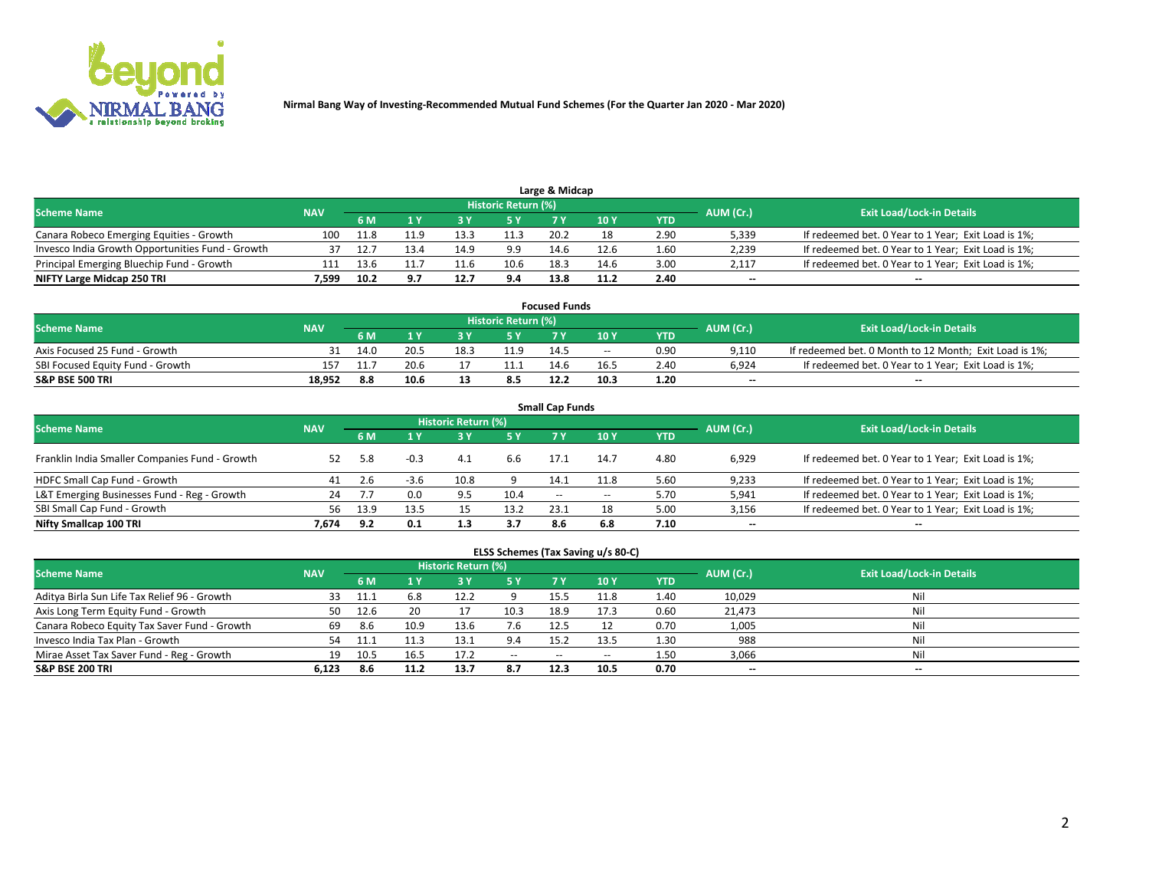

| <b>Scheme Name</b>                               |            |      |      |      | Historic Return (%) |      |      |            | AUM (Cr.)                | <b>Exit Load/Lock-in Details</b>                    |
|--------------------------------------------------|------------|------|------|------|---------------------|------|------|------------|--------------------------|-----------------------------------------------------|
|                                                  | <b>NAV</b> | 5 M  |      |      |                     |      | 10Y  | <b>YTD</b> |                          |                                                     |
| Canara Robeco Emerging Equities - Growth         | 100        | 11.8 |      | 13.3 | 11.3                | 20.2 |      | 2.90       | 5,339                    | If redeemed bet. 0 Year to 1 Year; Exit Load is 1%; |
| Invesco India Growth Opportunities Fund - Growth | 37         |      | 13.4 | 14.9 | 9.9                 | 14.6 | 12.6 | 1.60       | 2,239                    | If redeemed bet. 0 Year to 1 Year; Exit Load is 1%; |
| Principal Emerging Bluechip Fund - Growth        | 111        | 13.6 |      | 11.6 | 10.6                | 18.3 | 14.6 | 3.00       | 2.117                    | If redeemed bet. 0 Year to 1 Year; Exit Load is 1%; |
| NIFTY Large Midcap 250 TRI                       | 7.599      | 10.2 | 9.7  | 12.7 | 9.4                 | 13.8 | 11.2 | 2.40       | $\overline{\phantom{a}}$ | $- -$                                               |

| <b>Focused Funds</b>             |            |     |      |      |                     |      |       |            |           |                                                        |  |  |  |
|----------------------------------|------------|-----|------|------|---------------------|------|-------|------------|-----------|--------------------------------------------------------|--|--|--|
| <b>Scheme Name</b>               | <b>NAV</b> |     |      |      | Historic Return (%) |      |       |            | AUM (Cr.) | <b>Exit Load/Lock-in Details</b>                       |  |  |  |
|                                  |            | 6 M |      |      |                     |      | 10 Y  | <b>YTD</b> |           |                                                        |  |  |  |
| Axis Focused 25 Fund - Growth    |            |     | 20.5 | 18.5 | 11.9                | 14.5 | $- -$ | 0.90       | 9.110     | If redeemed bet. 0 Month to 12 Month; Exit Load is 1%; |  |  |  |
| SBI Focused Equity Fund - Growth | 157        |     | 20.6 |      |                     | 14.6 | 16.5  | 2.4C       | 6.924     | If redeemed bet. 0 Year to 1 Year; Exit Load is 1%;    |  |  |  |
| <b>S&amp;P BSE 500 TRI</b>       | 18.952     | 8.8 | 10.6 |      | 8.5                 | 12.2 | 10.3  | 1.20       | $\sim$    | $- -$                                                  |  |  |  |

|                                                |            |      |        |                            |      | <b>Small Cap Funds</b> |       |            |                          |                                                     |
|------------------------------------------------|------------|------|--------|----------------------------|------|------------------------|-------|------------|--------------------------|-----------------------------------------------------|
| <b>Scheme Name</b>                             | <b>NAV</b> |      |        | <b>Historic Return (%)</b> |      |                        |       |            | AUM (Cr.)                | <b>Exit Load/Lock-in Details</b>                    |
|                                                |            | 6 M  |        |                            | 5 Y  | 7 Y                    | 10Y   | <b>YTD</b> |                          |                                                     |
| Franklin India Smaller Companies Fund - Growth | 52         | 5.8  | $-0.3$ | 4.1                        | 6.6  | 17.1                   | 14.7  | 4.80       | 6,929                    | If redeemed bet. 0 Year to 1 Year; Exit Load is 1%; |
| HDFC Small Cap Fund - Growth                   | 41         |      | $-3.6$ | 10.8                       |      | 14.1                   | 11.8  | 5.60       | 9,233                    | If redeemed bet. 0 Year to 1 Year; Exit Load is 1%; |
| L&T Emerging Businesses Fund - Reg - Growth    | 24         |      | 0.0    | 9.5                        | 10.4 | $- -$                  | $- -$ | 5.70       | 5,941                    | If redeemed bet. 0 Year to 1 Year; Exit Load is 1%; |
| SBI Small Cap Fund - Growth                    | 56.        | 13.9 | 13.5   |                            | 13.2 | 23.1                   | 18    | 5.00       | 3,156                    | If redeemed bet. 0 Year to 1 Year; Exit Load is 1%; |
| Nifty Smallcap 100 TRI                         | 7.674      | 9.2  | 0.1    | 1.3                        | 3.7  | 8.6                    | 6.8   | 7.10       | $\overline{\phantom{a}}$ | $\overline{\phantom{a}}$                            |

## **ELSS Schemes (Tax Saving u/s 80-C)**

| <b>Scheme Name</b>                           | <b>NAV</b> |       |      | <b>Historic Return (%)</b> |           |      |      |      | AUM (Cr.) | <b>Exit Load/Lock-in Details</b> |
|----------------------------------------------|------------|-------|------|----------------------------|-----------|------|------|------|-----------|----------------------------------|
|                                              |            | 6 M   | 4 Y  |                            | <b>5Y</b> | 7 Y  | 10Y  | YTD  |           |                                  |
| Aditya Birla Sun Life Tax Relief 96 - Growth | 33         | -11.1 | 6.8  | 12.2                       |           | 15.5 | 11.8 | 1.40 | 10,029    | Nil                              |
| Axis Long Term Equity Fund - Growth          | 50         | 12.6  | 20   |                            | 10.3      | 18.9 | 17.3 | 0.60 | 21,473    | Nil                              |
| Canara Robeco Equity Tax Saver Fund - Growth | 69         | 8.6   | 10.9 | 13.6                       | 7.6       | 12.5 |      | 0.70 | 1,005     | Nil                              |
| Invesco India Tax Plan - Growth              | 54         |       |      | 13.1                       | 9.4       | 15.2 | 13.5 | 1.30 | 988       | Nil                              |
| Mirae Asset Tax Saver Fund - Reg - Growth    | 19         | 10.5  | 16.5 | 17.2                       | $- -$     | --   | --   | 1.50 | 3,066     | Nil                              |
| S&P BSE 200 TRI                              | 6.123      | 8.6   |      | 13.7                       | 8.7       | 12.3 | 10.5 | 0.70 | $-$       | $- -$                            |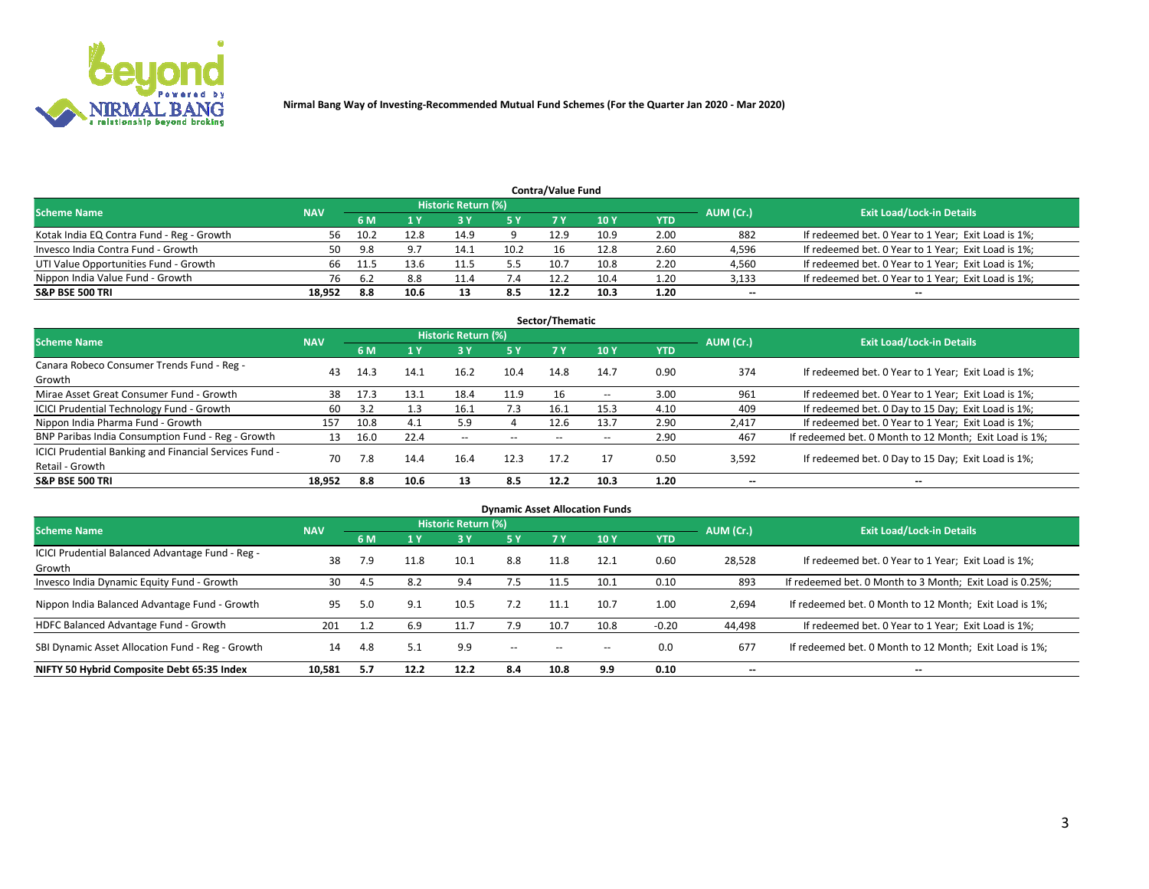

| <b>Contra/Value Fund</b>                                                                                        |        |       |      |      |      |      |      |      |        |                                                     |  |  |  |  |
|-----------------------------------------------------------------------------------------------------------------|--------|-------|------|------|------|------|------|------|--------|-----------------------------------------------------|--|--|--|--|
| <b>Historic Return (%)</b><br><b>Exit Load/Lock-in Details</b><br>AUM (Cr.)<br><b>Scheme Name</b><br><b>NAV</b> |        |       |      |      |      |      |      |      |        |                                                     |  |  |  |  |
|                                                                                                                 |        | 6 M   |      |      | 5 Y  | 7 V  | 10Y  | YTD  |        |                                                     |  |  |  |  |
| Kotak India EQ Contra Fund - Reg - Growth                                                                       | 56     | 10.2  | 12.8 | 14.9 |      | 12.9 | 10.9 | 2.00 | 882    | If redeemed bet. 0 Year to 1 Year; Exit Load is 1%; |  |  |  |  |
| Invesco India Contra Fund - Growth                                                                              | 50     | 9.8   |      | 14.1 | 10.2 | 16   | 12.8 | 2.60 | 4,596  | If redeemed bet. 0 Year to 1 Year; Exit Load is 1%; |  |  |  |  |
| UTI Value Opportunities Fund - Growth                                                                           | 66     | -11.5 | 13.6 |      | 5.5  | 10.7 | 10.8 | 2.20 | 4,560  | If redeemed bet. 0 Year to 1 Year; Exit Load is 1%; |  |  |  |  |
| Nippon India Value Fund - Growth                                                                                | 76     | 6.2   | 8.8  | 11.4 |      | 12.2 | 10.4 | 1.20 | 3,133  | If redeemed bet. 0 Year to 1 Year; Exit Load is 1%; |  |  |  |  |
| <b>S&amp;P BSE 500 TRI</b>                                                                                      | 18,952 | 8.8   | 10.6 |      | 8.5  | 12.2 | 10.3 | 1.20 | $\sim$ | $- -$                                               |  |  |  |  |

|                                                                           |            |      |      |                          |           | Sector/Thematic |       |            |                          |                                                        |
|---------------------------------------------------------------------------|------------|------|------|--------------------------|-----------|-----------------|-------|------------|--------------------------|--------------------------------------------------------|
| <b>Scheme Name</b>                                                        | <b>NAV</b> |      |      | Historic Return (%)      |           |                 |       |            | AUM (Cr.)                | <b>Exit Load/Lock-in Details</b>                       |
|                                                                           |            | 6 M  | 1 Y  | 73 Y                     | <b>5Y</b> | 7 Y             | 10Y   | <b>YTD</b> |                          |                                                        |
| Canara Robeco Consumer Trends Fund - Reg -<br>Growth                      | 43         | 14.3 | 14.1 | 16.2                     | 10.4      | 14.8            | 14.7  | 0.90       | 374                      | If redeemed bet. 0 Year to 1 Year; Exit Load is 1%;    |
| Mirae Asset Great Consumer Fund - Growth                                  | 38         | 17.3 | 13.1 | 18.4                     | 11.9      |                 | $- -$ | 3.00       | 961                      | If redeemed bet. 0 Year to 1 Year; Exit Load is 1%;    |
| ICICI Prudential Technology Fund - Growth                                 | 60         | 3.2  | 1.3  | 16.1                     | 7.3       | 16.1            | 15.3  | 4.10       | 409                      | If redeemed bet. 0 Day to 15 Day; Exit Load is 1%;     |
| Nippon India Pharma Fund - Growth                                         | 157        | 10.8 | 4.1  | 5.9                      |           | 12.6            | 13.7  | 2.90       | 2,417                    | If redeemed bet. 0 Year to 1 Year; Exit Load is 1%;    |
| BNP Paribas India Consumption Fund - Reg - Growth                         | 13         | 16.0 | 22.4 | $\overline{\phantom{a}}$ | $- -$     | $- -$           | $- -$ | 2.90       | 467                      | If redeemed bet. 0 Month to 12 Month; Exit Load is 1%; |
| ICICI Prudential Banking and Financial Services Fund -<br>Retail - Growth | 70         | 7.8  | 14.4 | 16.4                     | 12.3      | 17.2            | 17    | 0.50       | 3,592                    | If redeemed bet. 0 Day to 15 Day; Exit Load is 1%;     |
| <b>S&amp;P BSE 500 TRI</b>                                                | 18.952     | 8.8  | 10.6 | 13                       | 8.5       | 12.2            | 10.3  | 1.20       | $\overline{\phantom{a}}$ | $- -$                                                  |

|                                                            |            |     |      |                     |               |           | <b>Dynamic Asset Allocation Funds</b> |            |                          |                                                          |
|------------------------------------------------------------|------------|-----|------|---------------------|---------------|-----------|---------------------------------------|------------|--------------------------|----------------------------------------------------------|
| <b>Scheme Name</b>                                         | <b>NAV</b> |     |      | Historic Return (%) |               |           |                                       |            | AUM (Cr.)                | <b>Exit Load/Lock-in Details</b>                         |
|                                                            |            | 6 M |      | 3 Y                 | 5 Y           | <b>7Y</b> | 10Y                                   | <b>YTD</b> |                          |                                                          |
| ICICI Prudential Balanced Advantage Fund - Reg -<br>Growth | 38         | 7.9 | 11.8 | 10.1                | 8.8           | 11.8      | 12.1                                  | 0.60       | 28,528                   | If redeemed bet. 0 Year to 1 Year; Exit Load is 1%;      |
| Invesco India Dynamic Equity Fund - Growth                 | 30         | 4.5 | 8.2  | 9.4                 | 7.5           | 11.5      | 10.1                                  | 0.10       | 893                      | If redeemed bet. 0 Month to 3 Month; Exit Load is 0.25%; |
| Nippon India Balanced Advantage Fund - Growth              | 95         | 5.0 | 9.1  | 10.5                | 7.2           | 11.1      | 10.7                                  | 1.00       | 2,694                    | If redeemed bet. 0 Month to 12 Month; Exit Load is 1%;   |
| HDFC Balanced Advantage Fund - Growth                      | 201        |     | 6.9  | 11.7                | 7.9           | 10.7      | 10.8                                  | $-0.20$    | 44,498                   | If redeemed bet. 0 Year to 1 Year; Exit Load is 1%;      |
| SBI Dynamic Asset Allocation Fund - Reg - Growth           | 14         | 4.8 | 5.1  | 9.9                 | $\sim$ $\sim$ | --        | --                                    | 0.0        | 677                      | If redeemed bet. 0 Month to 12 Month; Exit Load is 1%;   |
| NIFTY 50 Hybrid Composite Debt 65:35 Index                 | 10,581     | 5.7 | 12.2 | 12.2                | 8.4           | 10.8      | 9.9                                   | 0.10       | $\overline{\phantom{a}}$ | $- -$                                                    |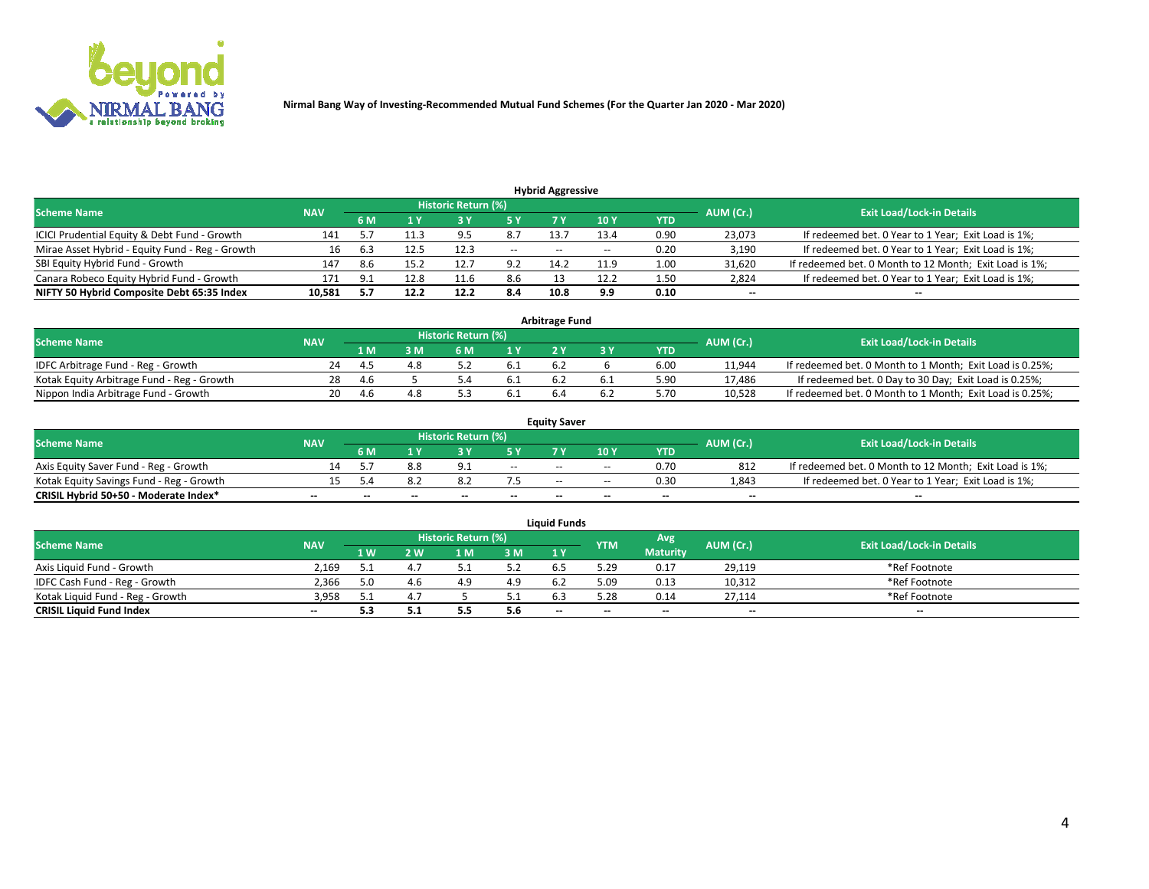

| <b>Hybrid Aggressive</b>                        |            |     |      |                            |        |                          |       |      |                          |                                                        |  |  |  |  |
|-------------------------------------------------|------------|-----|------|----------------------------|--------|--------------------------|-------|------|--------------------------|--------------------------------------------------------|--|--|--|--|
| <b>Scheme Name</b>                              | <b>NAV</b> |     |      | <b>Historic Return (%)</b> |        |                          |       |      | AUM (Cr.)                | <b>Exit Load/Lock-in Details</b>                       |  |  |  |  |
|                                                 |            | 6 M |      |                            |        |                          | 10Y   | YTD  |                          |                                                        |  |  |  |  |
| ICICI Prudential Equity & Debt Fund - Growth    | 141        |     | 11.3 | 9.5                        | 8.7    | 13.                      | 13.4  | 0.90 | 23,073                   | If redeemed bet. 0 Year to 1 Year; Exit Load is 1%;    |  |  |  |  |
| Mirae Asset Hybrid - Equity Fund - Reg - Growth | 16         | 6.3 | 12.5 | 12.3                       | $\sim$ | $\overline{\phantom{a}}$ | $- -$ | 0.20 | 3,190                    | If redeemed bet. 0 Year to 1 Year; Exit Load is 1%;    |  |  |  |  |
| SBI Equity Hybrid Fund - Growth                 | 147        | 8.6 | 15.2 | 12.                        | 9.2    | 14.2                     | 11.9  | 1.00 | 31,620                   | If redeemed bet. 0 Month to 12 Month; Exit Load is 1%; |  |  |  |  |
| Canara Robeco Equity Hybrid Fund - Growth       | 171        | Q.  | 12.8 | 11.6                       | 8.6    |                          | 12.2  | 1.50 | 2,824                    | If redeemed bet. 0 Year to 1 Year; Exit Load is 1%;    |  |  |  |  |
| NIFTY 50 Hybrid Composite Debt 65:35 Index      | 10,581     |     | 12.2 | 12.2                       | 8.4    | 10.8                     | 9.9   | 0.10 | $\overline{\phantom{a}}$ | $- -$                                                  |  |  |  |  |

|                                            |            |                                  |     |     |      | <b>Arbitrage Fund</b> |      |        |                                                          |
|--------------------------------------------|------------|----------------------------------|-----|-----|------|-----------------------|------|--------|----------------------------------------------------------|
| Scheme Name                                | AUM (Cr.)  | <b>Exit Load/Lock-in Details</b> |     |     |      |                       |      |        |                                                          |
|                                            | <b>NAV</b> | 1 M                              | ያ M | 6 M |      |                       | YTD  |        |                                                          |
| IDFC Arbitrage Fund - Reg - Growth         | 24         |                                  |     |     | 6.1  | 6.2                   | 6.00 | 11,944 | If redeemed bet. 0 Month to 1 Month; Exit Load is 0.25%; |
| Kotak Equity Arbitrage Fund - Reg - Growth | 28         | -4.6                             |     |     | -6.1 |                       | 5.90 | 17,486 | If redeemed bet. 0 Day to 30 Day; Exit Load is 0.25%;    |
| Nippon India Arbitrage Fund - Growth       | 20         | 4.b                              |     |     | 0.1  |                       | .70  | 10.528 | If redeemed bet. 0 Month to 1 Month; Exit Load is 0.25%; |

|                                          |            |           |                                  |                          |                          | <b>Equity Saver</b> |               |            |                          |                                                        |
|------------------------------------------|------------|-----------|----------------------------------|--------------------------|--------------------------|---------------------|---------------|------------|--------------------------|--------------------------------------------------------|
| Scheme Name                              | <b>NAV</b> | AUM (Cr.) | <b>Exit Load/Lock-in Details</b> |                          |                          |                     |               |            |                          |                                                        |
|                                          |            | 6 M       |                                  |                          | 5 Y                      |                     | $\sqrt{10}$ Y | <b>YTD</b> |                          |                                                        |
| Axis Equity Saver Fund - Reg - Growth    |            |           | 8.8                              | $^{\circ}$ 1             | $\sim$                   | $-$                 | $- -$         | 0.70       | 812                      | If redeemed bet. 0 Month to 12 Month; Exit Load is 1%; |
| Kotak Equity Savings Fund - Reg - Growth |            |           |                                  |                          |                          | $\sim$ $\sim$       | $- -$         | 0.30       | 1,843                    | If redeemed bet. 0 Year to 1 Year; Exit Load is 1%;    |
| CRISIL Hybrid 50+50 - Moderate Index*    |            | $-$       | $-$                              | $\overline{\phantom{a}}$ | $\overline{\phantom{a}}$ | $\sim$              | --            | $\sim$     | $\overline{\phantom{a}}$ | $- -$                                                  |

| <b>Liquid Funds</b>              |            |      |     |                            |     |                          |            |                 |           |                                  |  |  |  |  |
|----------------------------------|------------|------|-----|----------------------------|-----|--------------------------|------------|-----------------|-----------|----------------------------------|--|--|--|--|
| Scheme Name                      | <b>NAV</b> |      |     | <b>Historic Return (%)</b> |     |                          | <b>YTM</b> | Avg             | AUM (Cr.) | <b>Exit Load/Lock-in Details</b> |  |  |  |  |
|                                  |            | 1 W. | 2 W | 1 M                        | 3 M | 71 Y                     |            | <b>Maturity</b> |           |                                  |  |  |  |  |
| Axis Liquid Fund - Growth        | 2,169      |      |     |                            | 5.2 |                          | 5.29       | 0.17            | 29,119    | *Ref Footnote                    |  |  |  |  |
| IDFC Cash Fund - Reg - Growth    | 2.366      |      |     | 4.9                        | 4.9 | 62                       | 5.09       | 0.13            | 10,312    | *Ref Footnote                    |  |  |  |  |
| Kotak Liquid Fund - Reg - Growth | 3,958      |      |     |                            |     | 6. <sup>3</sup>          | 5.28       | 0.14            | 27,114    | *Ref Footnote                    |  |  |  |  |
| <b>CRISIL Liquid Fund Index</b>  | $\sim$     | 5.3  |     |                            | 5.6 | $\overline{\phantom{a}}$ | $- -$      | $\sim$          | $\sim$    | $\sim$                           |  |  |  |  |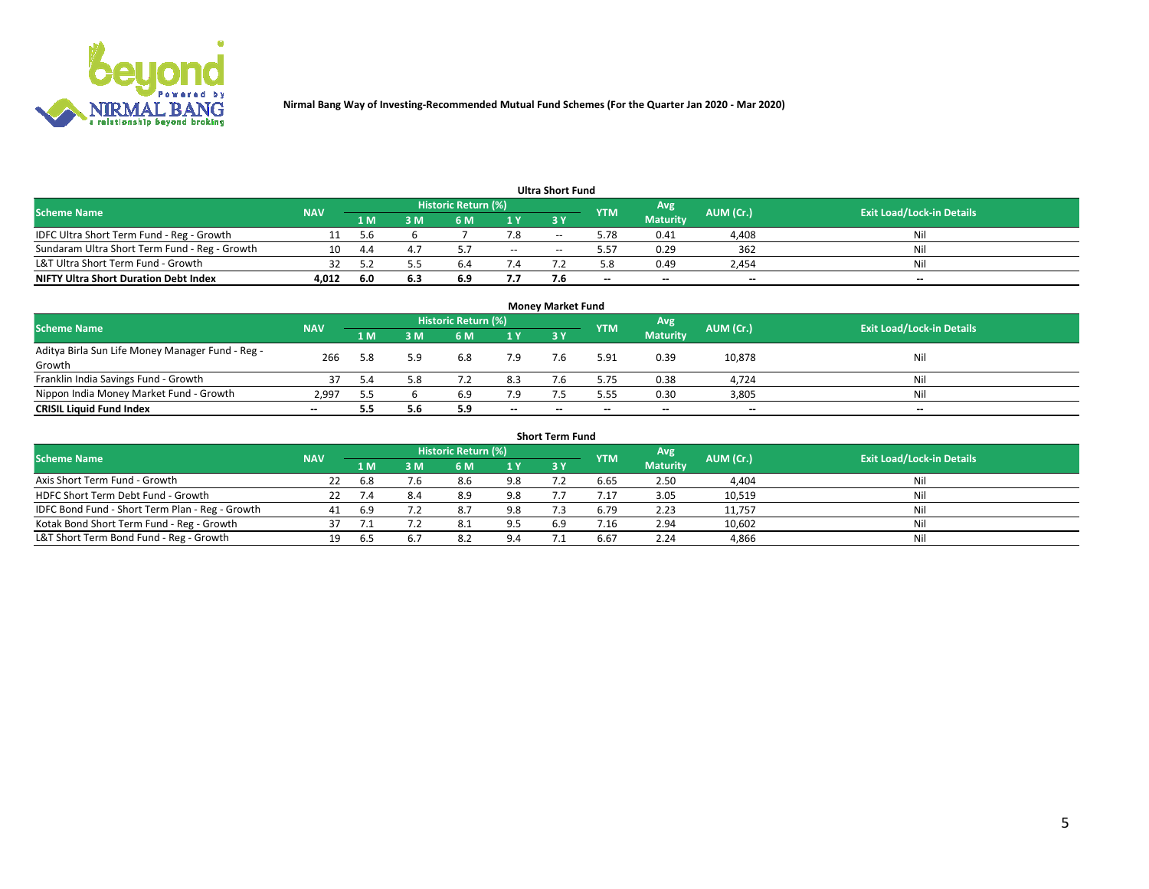

| <b>Ultra Short Fund</b>                       |            |      |     |                     |        |       |            |                 |           |                                  |  |  |  |  |
|-----------------------------------------------|------------|------|-----|---------------------|--------|-------|------------|-----------------|-----------|----------------------------------|--|--|--|--|
| <b>Scheme Name</b>                            | <b>NAV</b> |      |     | Historic Return (%) |        |       | <b>YTM</b> | Avg             | AUM (Cr.) | <b>Exit Load/Lock-in Details</b> |  |  |  |  |
|                                               |            | 1 M  | 3 M | 6 M                 | 1 Y    | 3 Y   |            | <b>Maturity</b> |           |                                  |  |  |  |  |
| IDFC Ultra Short Term Fund - Reg - Growth     |            | -5.6 |     |                     |        | $- -$ | 5.78       | 0.41            | 4,408     | Nil                              |  |  |  |  |
| Sundaram Ultra Short Term Fund - Reg - Growth |            | 44   |     |                     | $\sim$ | --    | 5.57       | 0.29            | 362       | Nil                              |  |  |  |  |
| L&T Ultra Short Term Fund - Growth            |            |      |     | b.                  |        |       |            | 0.49            | 2,454     | Nil                              |  |  |  |  |
| <b>NIFTY Ultra Short Duration Debt Index</b>  | 4,012      | -6.0 | 6.3 | 6.9                 | 7.7    |       | --         | $-$             | $- -$     | $- -$                            |  |  |  |  |

| <b>Money Market Fund</b>                         |            |     |     |                     |        |     |            |                 |           |                                  |  |  |  |
|--------------------------------------------------|------------|-----|-----|---------------------|--------|-----|------------|-----------------|-----------|----------------------------------|--|--|--|
| <b>Scheme Name</b>                               | <b>NAV</b> |     |     | Historic Return (%) |        |     | <b>YTM</b> | 'Avg            | AUM (Cr.) | <b>Exit Load/Lock-in Details</b> |  |  |  |
|                                                  |            | 1 M | 3 M | 6 M                 | 1 Y    | 3Y  |            | <b>Maturity</b> |           |                                  |  |  |  |
| Aditya Birla Sun Life Money Manager Fund - Reg - | 266        | 5.8 | 5.9 | 6.8                 | 7.9    | 7.6 | 5.91       | 0.39            | 10,878    | Nil                              |  |  |  |
| Growth                                           |            |     |     |                     |        |     |            |                 |           |                                  |  |  |  |
| Franklin India Savings Fund - Growth             |            | 5.4 | 5.8 |                     | 8.3    |     | 5.75       | 0.38            | 4,724     | Nil                              |  |  |  |
| Nippon India Money Market Fund - Growth          | 2.997      |     |     | 6.9                 | 7.9    |     | 5.55       | 0.30            | 3,805     | Nil                              |  |  |  |
| <b>CRISIL Liquid Fund Index</b>                  | $- -$      |     | 5.6 | 5.9                 | $\sim$ | --  | --         | $\sim$          | $\sim$    | $\sim$                           |  |  |  |

| <b>Short Term Fund</b>                          |            |      |     |                     |     |           |            |                 |           |                                  |  |  |  |  |
|-------------------------------------------------|------------|------|-----|---------------------|-----|-----------|------------|-----------------|-----------|----------------------------------|--|--|--|--|
| <b>Scheme Name</b>                              | <b>NAV</b> |      |     | Historic Return (%) |     |           | <b>YTM</b> | Avg             | AUM (Cr.) | <b>Exit Load/Lock-in Details</b> |  |  |  |  |
|                                                 |            | 1 M  | 3 M | 6 M                 | 1Y  | <b>3Y</b> |            | <b>Maturity</b> |           |                                  |  |  |  |  |
| Axis Short Term Fund - Growth                   | 22         | 6.8  | 7.6 | 8.6                 | 9.8 |           | 6.65       | 2.50            | 4,404     | Nil                              |  |  |  |  |
| HDFC Short Term Debt Fund - Growth              |            |      | 8.4 | 8.9                 | 9.8 |           | 7.17       | 3.05            | 10,519    | Nil                              |  |  |  |  |
| IDFC Bond Fund - Short Term Plan - Reg - Growth | 41         | -6.9 |     | 8.7                 | 9.8 |           | 6.79       | 2.23            | 11,757    | Nil                              |  |  |  |  |
| Kotak Bond Short Term Fund - Reg - Growth       |            |      |     | -8.1                | 9.5 | 6.9       | /0.16      | 2.94            | 10,602    | Nil                              |  |  |  |  |
| L&T Short Term Bond Fund - Reg - Growth         |            | 6.5  | b   | 8.2                 | 9.4 |           | 6.67       | 2.24            | 4,866     | Nil                              |  |  |  |  |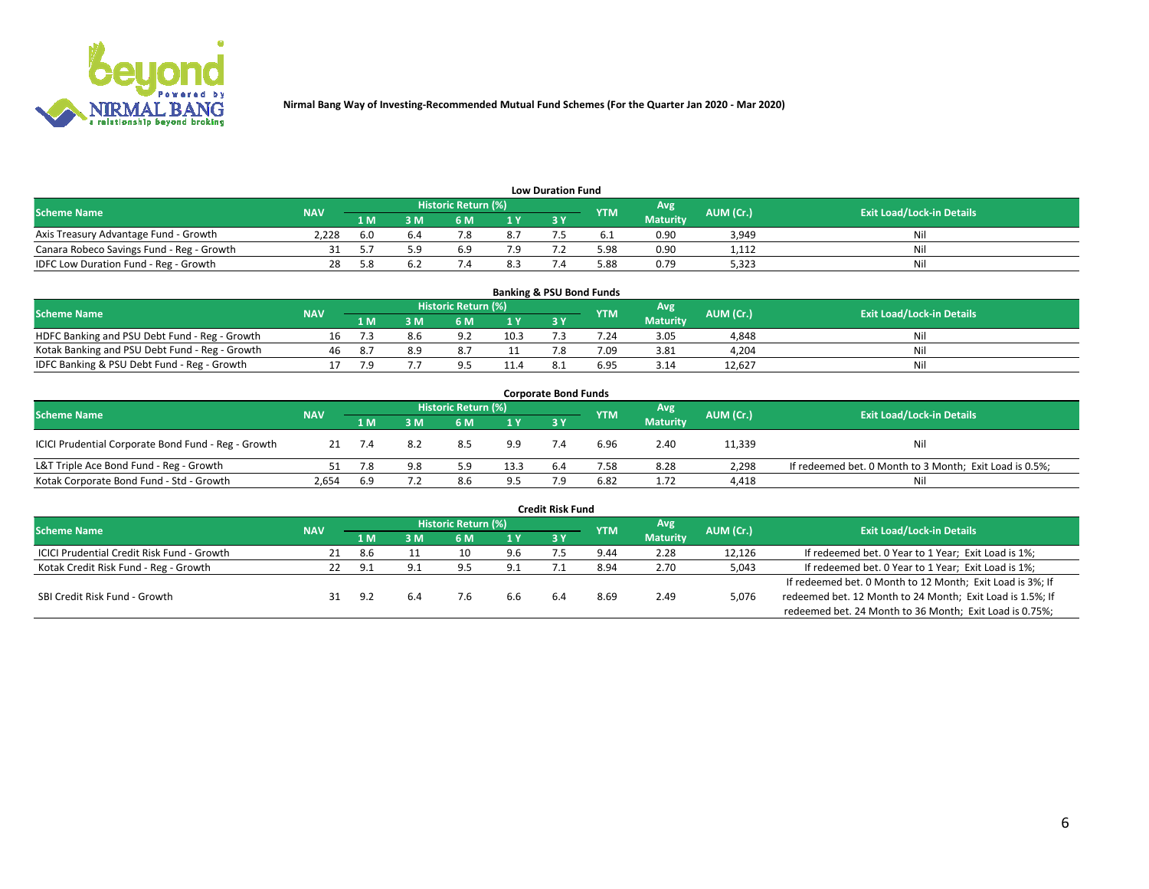

| <b>Low Duration Fund</b>                  |            |      |      |                            |     |  |            |                 |           |                                  |  |  |  |
|-------------------------------------------|------------|------|------|----------------------------|-----|--|------------|-----------------|-----------|----------------------------------|--|--|--|
| <b>Scheme Name</b>                        | <b>NAV</b> |      |      | <b>Historic Return (%)</b> |     |  | <b>YTM</b> | Avg             | AUM (Cr.) | <b>Exit Load/Lock-in Details</b> |  |  |  |
|                                           |            | 1 M  | ያ M  | 5 M                        | 1 V |  |            | <b>Maturity</b> |           |                                  |  |  |  |
| Axis Treasury Advantage Fund - Growth     | 2.228      | -6.0 | b.4  |                            | 8.7 |  |            | 0.90            | 3,949     | Nil                              |  |  |  |
| Canara Robeco Savings Fund - Reg - Growth |            |      | г. α | 6.9                        | 7.9 |  | 5.98       | 0.90            | 1,112     | Nil                              |  |  |  |
| IDFC Low Duration Fund - Reg - Growth     |            |      |      |                            | 8.3 |  | 5.88       | 0.79            | 5,323     | Nil                              |  |  |  |

| <b>Banking &amp; PSU Bond Funds</b>            |            |      |     |                            |      |           |            |                 |           |                                  |  |  |  |
|------------------------------------------------|------------|------|-----|----------------------------|------|-----------|------------|-----------------|-----------|----------------------------------|--|--|--|
| <b>Scheme Name</b>                             | <b>NAV</b> |      |     | <b>Historic Return (%)</b> |      |           | <b>YTM</b> | Avg             | AUM (Cr.) | <b>Exit Load/Lock-in Details</b> |  |  |  |
|                                                |            | 1 M  | sм  | 6 M                        | 71 Y | <b>3Y</b> |            | <b>Maturity</b> |           |                                  |  |  |  |
| HDFC Banking and PSU Debt Fund - Reg - Growth  | Ίħ.        |      | 8.b | . വ                        | 10.3 |           | 7.24       | 3.05            | 4,848     | Ni                               |  |  |  |
| Kotak Banking and PSU Debt Fund - Reg - Growth | 46         | -8.7 | 8.9 | 8.7                        |      |           | 7.09       | 3.81            | 4,204     | Ni                               |  |  |  |
| IDFC Banking & PSU Debt Fund - Reg - Growth    |            |      |     |                            | 11.4 |           | 6.95       | 3.14            | 12.627    | Ni                               |  |  |  |

| <b>Corporate Bond Funds</b>                                                                                                          |       |     |     |     |      |            |      |                 |        |                                                         |  |  |  |  |
|--------------------------------------------------------------------------------------------------------------------------------------|-------|-----|-----|-----|------|------------|------|-----------------|--------|---------------------------------------------------------|--|--|--|--|
| <b>Historic Return (%)</b><br>Avg<br>AUM (Cr.)<br><b>Exit Load/Lock-in Details</b><br><b>Scheme Name</b><br><b>NAV</b><br><b>YTM</b> |       |     |     |     |      |            |      |                 |        |                                                         |  |  |  |  |
|                                                                                                                                      |       | 1 M | 3 M | 6 M | 1 Y  | <b>3 Y</b> |      | <b>Maturity</b> |        |                                                         |  |  |  |  |
| ICICI Prudential Corporate Bond Fund - Reg - Growth                                                                                  |       |     | 8.2 | 8.5 | 9.9  |            | 6.96 | 2.40            | 11,339 | Nil                                                     |  |  |  |  |
| L&T Triple Ace Bond Fund - Reg - Growth                                                                                              |       |     | 9.8 |     | 13.3 | 6.4        | 7.58 | 8.28            | 2,298  | If redeemed bet. 0 Month to 3 Month; Exit Load is 0.5%; |  |  |  |  |
| Kotak Corporate Bond Fund - Std - Growth                                                                                             | 2,654 | 6.9 |     | 8.6 | 9.5  |            | 6.82 | 1.72            | 4,418  | Nil                                                     |  |  |  |  |

| <b>Credit Risk Fund</b>                    |            |     |     |                            |     |     |            |                 |           |                                                           |  |  |  |
|--------------------------------------------|------------|-----|-----|----------------------------|-----|-----|------------|-----------------|-----------|-----------------------------------------------------------|--|--|--|
| <b>Scheme Name</b>                         | <b>NAV</b> |     |     | <b>Historic Return (%)</b> |     |     | <b>YTM</b> | Avg             | AUM (Cr.) | <b>Exit Load/Lock-in Details</b>                          |  |  |  |
|                                            |            | 1 M | ያ M | 6 M                        | 1 Y | 3Y  |            | <b>Maturity</b> |           |                                                           |  |  |  |
| ICICI Prudential Credit Risk Fund - Growth | 21         | 8.6 |     | 10                         | 9.6 |     | 9.44       | 2.28            | 12,126    | If redeemed bet. 0 Year to 1 Year; Exit Load is 1%;       |  |  |  |
| Kotak Credit Risk Fund - Reg - Growth      |            | ۰ p | 9.1 | Q                          | 9.1 |     | 8.94       | 2.70            | 5,043     | If redeemed bet. 0 Year to 1 Year; Exit Load is 1%;       |  |  |  |
|                                            |            |     |     |                            |     |     |            |                 |           | If redeemed bet. 0 Month to 12 Month; Exit Load is 3%; If |  |  |  |
| SBI Credit Risk Fund - Growth              |            | -97 |     |                            | 6.6 | 6.4 | 8.69       | 2.49            | 5,076     | redeemed bet. 12 Month to 24 Month; Exit Load is 1.5%; If |  |  |  |
|                                            |            |     |     |                            |     |     |            |                 |           | redeemed bet. 24 Month to 36 Month; Exit Load is 0.75%;   |  |  |  |